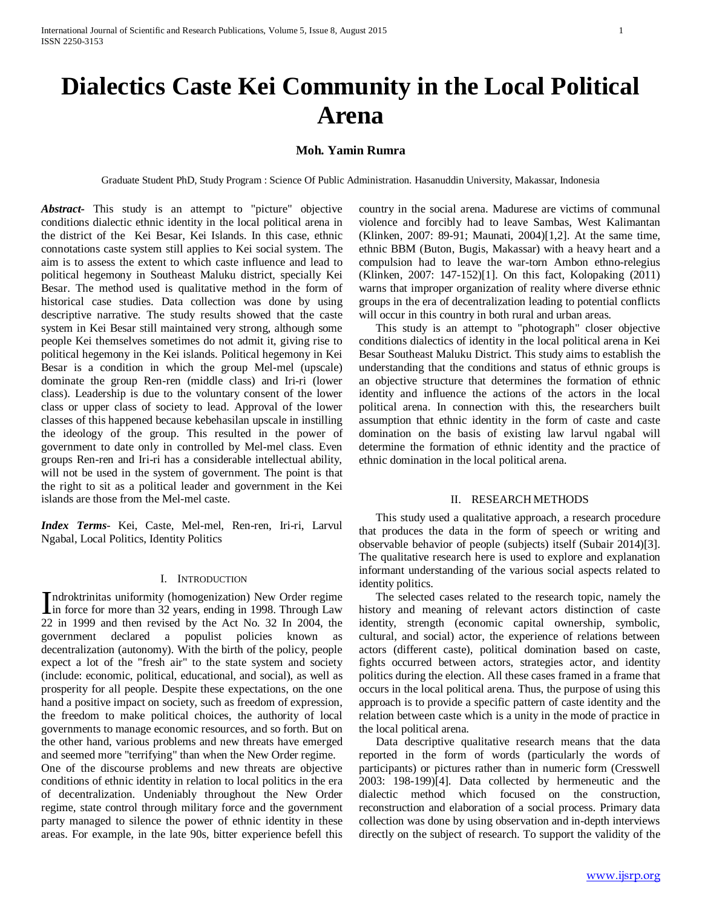# **Dialectics Caste Kei Community in the Local Political Arena**

# **Moh. Yamin Rumra**

Graduate Student PhD, Study Program : Science Of Public Administration. Hasanuddin University, Makassar, Indonesia

*Abstract***-** This study is an attempt to "picture" objective conditions dialectic ethnic identity in the local political arena in the district of the Kei Besar, Kei Islands. In this case, ethnic connotations caste system still applies to Kei social system. The aim is to assess the extent to which caste influence and lead to political hegemony in Southeast Maluku district, specially Kei Besar. The method used is qualitative method in the form of historical case studies. Data collection was done by using descriptive narrative. The study results showed that the caste system in Kei Besar still maintained very strong, although some people Kei themselves sometimes do not admit it, giving rise to political hegemony in the Kei islands. Political hegemony in Kei Besar is a condition in which the group Mel-mel (upscale) dominate the group Ren-ren (middle class) and Iri-ri (lower class). Leadership is due to the voluntary consent of the lower class or upper class of society to lead. Approval of the lower classes of this happened because kebehasilan upscale in instilling the ideology of the group. This resulted in the power of government to date only in controlled by Mel-mel class. Even groups Ren-ren and Iri-ri has a considerable intellectual ability, will not be used in the system of government. The point is that the right to sit as a political leader and government in the Kei islands are those from the Mel-mel caste.

*Index Terms*- Kei, Caste, Mel-mel, Ren-ren, Iri-ri, Larvul Ngabal, Local Politics, Identity Politics

#### I. INTRODUCTION

ndroktrinitas uniformity (homogenization) New Order regime Indroktrinitias uniformity (homogenization) New Order regime<br>in force for more than 32 years, ending in 1998. Through Law<br> $22 \times 1000$  and then  $24 \times 1000$  and the  $4 \times 1000$  and then 22 in 1999 and then revised by the Act No. 32 In 2004, the government declared a populist policies known as decentralization (autonomy). With the birth of the policy, people expect a lot of the "fresh air" to the state system and society (include: economic, political, educational, and social), as well as prosperity for all people. Despite these expectations, on the one hand a positive impact on society, such as freedom of expression, the freedom to make political choices, the authority of local governments to manage economic resources, and so forth. But on the other hand, various problems and new threats have emerged and seemed more "terrifying" than when the New Order regime.

One of the discourse problems and new threats are objective conditions of ethnic identity in relation to local politics in the era of decentralization. Undeniably throughout the New Order regime, state control through military force and the government party managed to silence the power of ethnic identity in these areas. For example, in the late 90s, bitter experience befell this country in the social arena. Madurese are victims of communal violence and forcibly had to leave Sambas, West Kalimantan (Klinken, 2007: 89-91; Maunati, 2004)[1,2]. At the same time, ethnic BBM (Buton, Bugis, Makassar) with a heavy heart and a compulsion had to leave the war-torn Ambon ethno-relegius (Klinken, 2007: 147-152)[1]. On this fact, Kolopaking (2011) warns that improper organization of reality where diverse ethnic groups in the era of decentralization leading to potential conflicts will occur in this country in both rural and urban areas.

 This study is an attempt to "photograph" closer objective conditions dialectics of identity in the local political arena in Kei Besar Southeast Maluku District. This study aims to establish the understanding that the conditions and status of ethnic groups is an objective structure that determines the formation of ethnic identity and influence the actions of the actors in the local political arena. In connection with this, the researchers built assumption that ethnic identity in the form of caste and caste domination on the basis of existing law larvul ngabal will determine the formation of ethnic identity and the practice of ethnic domination in the local political arena.

### II. RESEARCH METHODS

 This study used a qualitative approach, a research procedure that produces the data in the form of speech or writing and observable behavior of people (subjects) itself (Subair 2014)[3]. The qualitative research here is used to explore and explanation informant understanding of the various social aspects related to identity politics.

 The selected cases related to the research topic, namely the history and meaning of relevant actors distinction of caste identity, strength (economic capital ownership, symbolic, cultural, and social) actor, the experience of relations between actors (different caste), political domination based on caste, fights occurred between actors, strategies actor, and identity politics during the election. All these cases framed in a frame that occurs in the local political arena. Thus, the purpose of using this approach is to provide a specific pattern of caste identity and the relation between caste which is a unity in the mode of practice in the local political arena.

 Data descriptive qualitative research means that the data reported in the form of words (particularly the words of participants) or pictures rather than in numeric form (Cresswell 2003: 198-199)[4]. Data collected by hermeneutic and the dialectic method which focused on the construction, reconstruction and elaboration of a social process. Primary data collection was done by using observation and in-depth interviews directly on the subject of research. To support the validity of the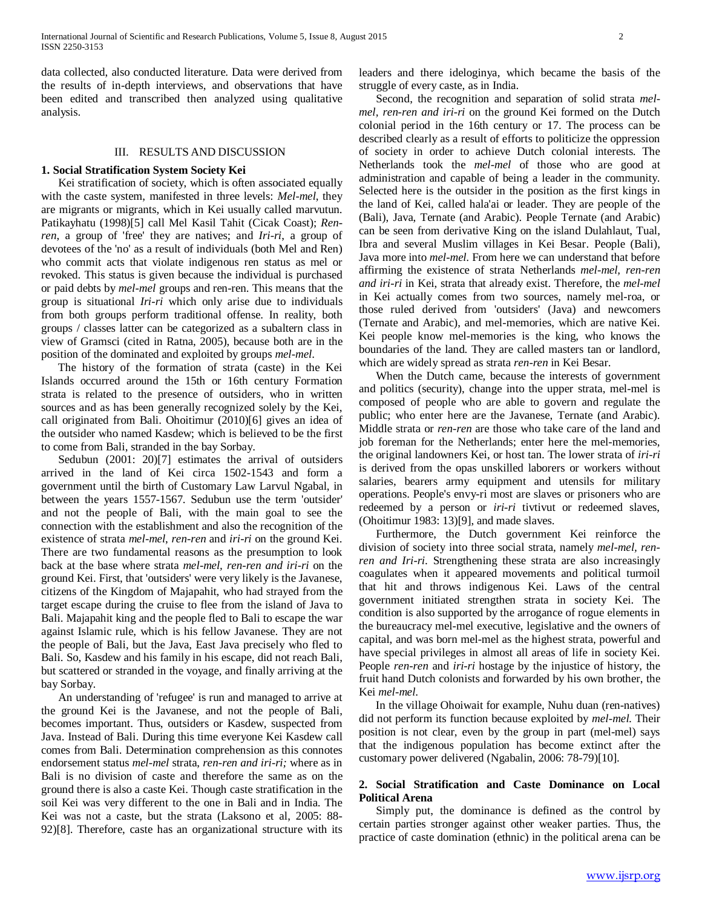data collected, also conducted literature. Data were derived from the results of in-depth interviews, and observations that have been edited and transcribed then analyzed using qualitative analysis.

### III. RESULTS AND DISCUSSION

## **1. Social Stratification System Society Kei**

 Kei stratification of society, which is often associated equally with the caste system, manifested in three levels: *Mel-mel*, they are migrants or migrants, which in Kei usually called marvutun. Patikayhatu (1998)[5] call Mel Kasil Tahit (Cicak Coast); *Renren*, a group of 'free' they are natives; and *Iri-ri*, a group of devotees of the 'no' as a result of individuals (both Mel and Ren) who commit acts that violate indigenous ren status as mel or revoked. This status is given because the individual is purchased or paid debts by *mel-mel* groups and ren-ren. This means that the group is situational *Iri-ri* which only arise due to individuals from both groups perform traditional offense. In reality, both groups / classes latter can be categorized as a subaltern class in view of Gramsci (cited in Ratna, 2005), because both are in the position of the dominated and exploited by groups *mel-mel*.

 The history of the formation of strata (caste) in the Kei Islands occurred around the 15th or 16th century Formation strata is related to the presence of outsiders, who in written sources and as has been generally recognized solely by the Kei, call originated from Bali. Ohoitimur (2010)[6] gives an idea of the outsider who named Kasdew; which is believed to be the first to come from Bali, stranded in the bay Sorbay.

Sedubun (2001: 20)[7] estimates the arrival of outsiders arrived in the land of Kei circa 1502-1543 and form a government until the birth of Customary Law Larvul Ngabal, in between the years 1557-1567. Sedubun use the term 'outsider' and not the people of Bali, with the main goal to see the connection with the establishment and also the recognition of the existence of strata *mel-mel*, *ren-ren* and *iri-ri* on the ground Kei. There are two fundamental reasons as the presumption to look back at the base where strata *mel-mel, ren-ren and iri-ri* on the ground Kei. First, that 'outsiders' were very likely is the Javanese, citizens of the Kingdom of Majapahit, who had strayed from the target escape during the cruise to flee from the island of Java to Bali. Majapahit king and the people fled to Bali to escape the war against Islamic rule, which is his fellow Javanese. They are not the people of Bali, but the Java, East Java precisely who fled to Bali. So, Kasdew and his family in his escape, did not reach Bali, but scattered or stranded in the voyage, and finally arriving at the bay Sorbay.

 An understanding of 'refugee' is run and managed to arrive at the ground Kei is the Javanese, and not the people of Bali, becomes important. Thus, outsiders or Kasdew, suspected from Java. Instead of Bali. During this time everyone Kei Kasdew call comes from Bali. Determination comprehension as this connotes endorsement status *mel-mel* strata, *ren-ren and iri-ri;* where as in Bali is no division of caste and therefore the same as on the ground there is also a caste Kei. Though caste stratification in the soil Kei was very different to the one in Bali and in India. The Kei was not a caste, but the strata (Laksono et al, 2005: 88- 92)[8]. Therefore, caste has an organizational structure with its

leaders and there ideloginya, which became the basis of the struggle of every caste, as in India.

 Second, the recognition and separation of solid strata *melmel, ren-ren and iri-ri* on the ground Kei formed on the Dutch colonial period in the 16th century or 17. The process can be described clearly as a result of efforts to politicize the oppression of society in order to achieve Dutch colonial interests. The Netherlands took the *mel-mel* of those who are good at administration and capable of being a leader in the community. Selected here is the outsider in the position as the first kings in the land of Kei, called hala'ai or leader. They are people of the (Bali), Java, Ternate (and Arabic). People Ternate (and Arabic) can be seen from derivative King on the island Dulahlaut, Tual, Ibra and several Muslim villages in Kei Besar. People (Bali), Java more into *mel-mel.* From here we can understand that before affirming the existence of strata Netherlands *mel-mel, ren-ren and iri-ri* in Kei, strata that already exist. Therefore, the *mel-mel* in Kei actually comes from two sources, namely mel-roa, or those ruled derived from 'outsiders' (Java) and newcomers (Ternate and Arabic), and mel-memories, which are native Kei. Kei people know mel-memories is the king, who knows the boundaries of the land. They are called masters tan or landlord, which are widely spread as strata *ren-ren* in Kei Besar.

 When the Dutch came, because the interests of government and politics (security), change into the upper strata, mel-mel is composed of people who are able to govern and regulate the public; who enter here are the Javanese, Ternate (and Arabic). Middle strata or *ren-ren* are those who take care of the land and job foreman for the Netherlands; enter here the mel-memories, the original landowners Kei, or host tan. The lower strata of *iri-ri*  is derived from the opas unskilled laborers or workers without salaries, bearers army equipment and utensils for military operations. People's envy-ri most are slaves or prisoners who are redeemed by a person or *iri-ri* tivtivut or redeemed slaves, (Ohoitimur 1983: 13)[9], and made slaves.

 Furthermore, the Dutch government Kei reinforce the division of society into three social strata, namely *mel-mel, renren and Iri-ri*. Strengthening these strata are also increasingly coagulates when it appeared movements and political turmoil that hit and throws indigenous Kei. Laws of the central government initiated strengthen strata in society Kei. The condition is also supported by the arrogance of rogue elements in the bureaucracy mel-mel executive, legislative and the owners of capital, and was born mel-mel as the highest strata, powerful and have special privileges in almost all areas of life in society Kei. People *ren-ren* and *iri-ri* hostage by the injustice of history, the fruit hand Dutch colonists and forwarded by his own brother, the Kei *mel-mel*.

 In the village Ohoiwait for example, Nuhu duan (ren-natives) did not perform its function because exploited by *mel-mel.* Their position is not clear, even by the group in part (mel-mel) says that the indigenous population has become extinct after the customary power delivered (Ngabalin, 2006: 78-79)[10].

# **2. Social Stratification and Caste Dominance on Local Political Arena**

 Simply put, the dominance is defined as the control by certain parties stronger against other weaker parties. Thus, the practice of caste domination (ethnic) in the political arena can be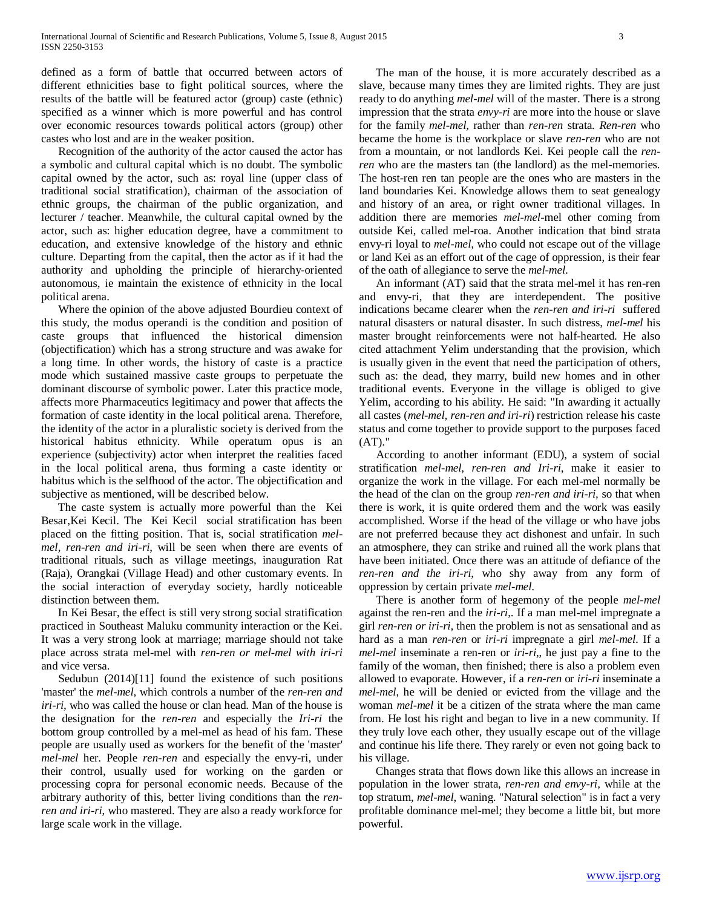defined as a form of battle that occurred between actors of different ethnicities base to fight political sources, where the results of the battle will be featured actor (group) caste (ethnic) specified as a winner which is more powerful and has control over economic resources towards political actors (group) other castes who lost and are in the weaker position.

 Recognition of the authority of the actor caused the actor has a symbolic and cultural capital which is no doubt. The symbolic capital owned by the actor, such as: royal line (upper class of traditional social stratification), chairman of the association of ethnic groups, the chairman of the public organization, and lecturer / teacher. Meanwhile, the cultural capital owned by the actor, such as: higher education degree, have a commitment to education, and extensive knowledge of the history and ethnic culture. Departing from the capital, then the actor as if it had the authority and upholding the principle of hierarchy-oriented autonomous, ie maintain the existence of ethnicity in the local political arena.

 Where the opinion of the above adjusted Bourdieu context of this study, the modus operandi is the condition and position of caste groups that influenced the historical dimension (objectification) which has a strong structure and was awake for a long time. In other words, the history of caste is a practice mode which sustained massive caste groups to perpetuate the dominant discourse of symbolic power. Later this practice mode, affects more Pharmaceutics legitimacy and power that affects the formation of caste identity in the local political arena. Therefore, the identity of the actor in a pluralistic society is derived from the historical habitus ethnicity. While operatum opus is an experience (subjectivity) actor when interpret the realities faced in the local political arena, thus forming a caste identity or habitus which is the selfhood of the actor. The objectification and subjective as mentioned, will be described below.

 The caste system is actually more powerful than the Kei Besar,Kei Kecil. The Kei Kecil social stratification has been placed on the fitting position. That is, social stratification *melmel, ren-ren and iri-ri*, will be seen when there are events of traditional rituals, such as village meetings, inauguration Rat (Raja), Orangkai (Village Head) and other customary events. In the social interaction of everyday society, hardly noticeable distinction between them.

 In Kei Besar, the effect is still very strong social stratification practiced in Southeast Maluku community interaction or the Kei. It was a very strong look at marriage; marriage should not take place across strata mel-mel with *ren-ren or mel-mel with iri-ri*  and vice versa.

 Sedubun (2014)[11] found the existence of such positions 'master' the *mel-mel,* which controls a number of the *ren-ren and iri-ri,* who was called the house or clan head. Man of the house is the designation for the *ren-ren* and especially the *Iri-ri* the bottom group controlled by a mel-mel as head of his fam. These people are usually used as workers for the benefit of the 'master' *mel-mel* her. People *ren-ren* and especially the envy-ri, under their control, usually used for working on the garden or processing copra for personal economic needs. Because of the arbitrary authority of this, better living conditions than the *renren and iri-ri*, who mastered. They are also a ready workforce for large scale work in the village.

 The man of the house, it is more accurately described as a slave, because many times they are limited rights. They are just ready to do anything *mel-mel* will of the master. There is a strong impression that the strata *envy-ri* are more into the house or slave for the family *mel-mel,* rather than *ren-ren* strata. *Ren-ren* who became the home is the workplace or slave *ren-ren* who are not from a mountain, or not landlords Kei. Kei people call the *renren* who are the masters tan (the landlord) as the mel-memories. The host-ren ren tan people are the ones who are masters in the land boundaries Kei. Knowledge allows them to seat genealogy and history of an area, or right owner traditional villages. In addition there are memories *mel-mel*-mel other coming from outside Kei, called mel-roa. Another indication that bind strata envy-ri loyal to *mel-mel,* who could not escape out of the village or land Kei as an effort out of the cage of oppression, is their fear of the oath of allegiance to serve the *mel-mel*.

 An informant (AT) said that the strata mel-mel it has ren-ren and envy-ri, that they are interdependent. The positive indications became clearer when the *ren-ren and iri-ri* suffered natural disasters or natural disaster. In such distress, *mel-mel* his master brought reinforcements were not half-hearted. He also cited attachment Yelim understanding that the provision, which is usually given in the event that need the participation of others, such as: the dead, they marry, build new homes and in other traditional events. Everyone in the village is obliged to give Yelim, according to his ability. He said: "In awarding it actually all castes (*mel-mel, ren-ren and iri-ri*) restriction release his caste status and come together to provide support to the purposes faced (AT)."

 According to another informant (EDU), a system of social stratification *mel-mel, ren-ren and Iri-ri*, make it easier to organize the work in the village. For each mel-mel normally be the head of the clan on the group *ren-ren and iri-ri,* so that when there is work, it is quite ordered them and the work was easily accomplished. Worse if the head of the village or who have jobs are not preferred because they act dishonest and unfair. In such an atmosphere, they can strike and ruined all the work plans that have been initiated. Once there was an attitude of defiance of the *ren-ren and the iri-ri*, who shy away from any form of oppression by certain private *mel-mel*.

 There is another form of hegemony of the people *mel-mel* against the ren-ren and the *iri-ri*,. If a man mel-mel impregnate a girl *ren-ren or iri-ri,* then the problem is not as sensational and as hard as a man *ren-ren* or *iri-ri* impregnate a girl *mel-mel*. If a *mel-mel* inseminate a ren-ren or *iri-ri*,, he just pay a fine to the family of the woman, then finished; there is also a problem even allowed to evaporate. However, if a *ren-ren* or *iri-ri* inseminate a *mel-mel*, he will be denied or evicted from the village and the woman *mel-mel* it be a citizen of the strata where the man came from. He lost his right and began to live in a new community. If they truly love each other, they usually escape out of the village and continue his life there. They rarely or even not going back to his village.

 Changes strata that flows down like this allows an increase in population in the lower strata, *ren-ren and envy-ri,* while at the top stratum, *mel-mel*, waning. "Natural selection" is in fact a very profitable dominance mel-mel; they become a little bit, but more powerful.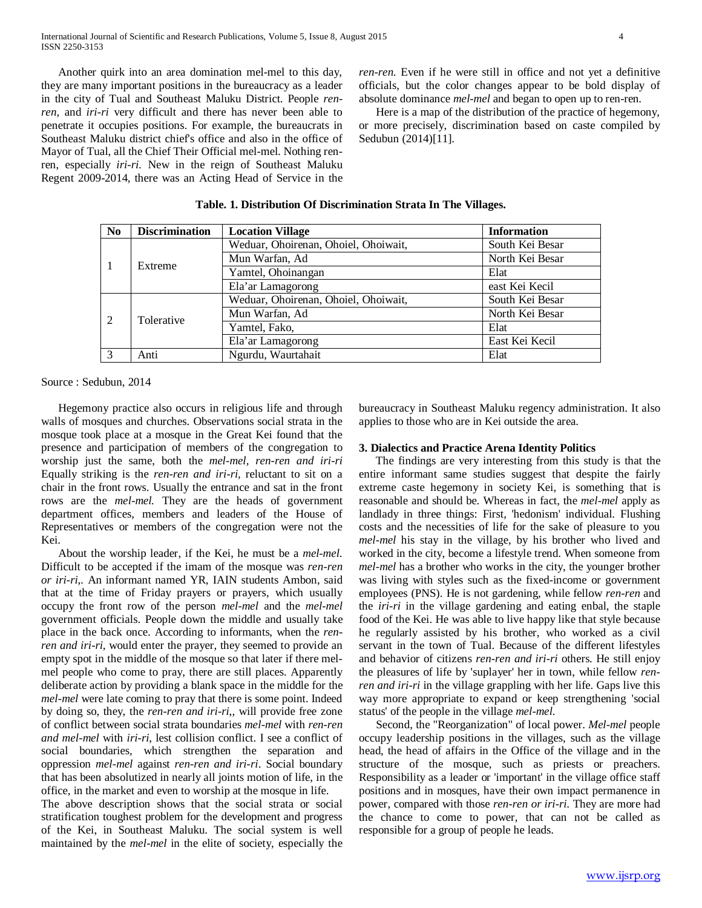Another quirk into an area domination mel-mel to this day, they are many important positions in the bureaucracy as a leader in the city of Tual and Southeast Maluku District. People *renren,* and *iri-ri* very difficult and there has never been able to penetrate it occupies positions. For example, the bureaucrats in Southeast Maluku district chief's office and also in the office of Mayor of Tual, all the Chief Their Official mel-mel. Nothing renren, especially *iri-ri.* New in the reign of Southeast Maluku Regent 2009-2014, there was an Acting Head of Service in the *ren-ren*. Even if he were still in office and not yet a definitive officials, but the color changes appear to be bold display of absolute dominance *mel-mel* and began to open up to ren-ren.

 Here is a map of the distribution of the practice of hegemony, or more precisely, discrimination based on caste compiled by Sedubun (2014)[11].

|  | Table. 1. Distribution Of Discrimination Strata In The Villages. |  |  |
|--|------------------------------------------------------------------|--|--|
|  |                                                                  |  |  |

| No                          | <b>Discrimination</b> | <b>Location Village</b>              | <b>Information</b> |
|-----------------------------|-----------------------|--------------------------------------|--------------------|
|                             |                       | Weduar, Ohoirenan, Ohoiel, Ohoiwait, | South Kei Besar    |
|                             | Extreme               | Mun Warfan, Ad                       | North Kei Besar    |
|                             |                       | Yamtel, Ohoinangan                   | Elat               |
|                             |                       | Ela'ar Lamagorong                    | east Kei Kecil     |
|                             |                       | Weduar, Ohoirenan, Ohoiel, Ohoiwait, | South Kei Besar    |
| $\mathcal{D}_{\mathcal{L}}$ | Tolerative            | Mun Warfan, Ad                       | North Kei Besar    |
|                             |                       | Yamtel, Fako,                        | Elat               |
|                             |                       | Ela'ar Lamagorong                    | East Kei Kecil     |
| $\mathcal{R}$               | Anti                  | Ngurdu, Waurtahait                   | Elat               |

Source : Sedubun, 2014

 Hegemony practice also occurs in religious life and through walls of mosques and churches. Observations social strata in the mosque took place at a mosque in the Great Kei found that the presence and participation of members of the congregation to worship just the same, both the *mel-mel, ren-ren and iri-ri*  Equally striking is the *ren-ren and iri-ri,* reluctant to sit on a chair in the front rows. Usually the entrance and sat in the front rows are the *mel-mel.* They are the heads of government department offices, members and leaders of the House of Representatives or members of the congregation were not the Kei.

 About the worship leader, if the Kei, he must be a *mel-mel*. Difficult to be accepted if the imam of the mosque was *ren-ren or iri-ri*,*.* An informant named YR, IAIN students Ambon, said that at the time of Friday prayers or prayers, which usually occupy the front row of the person *mel-mel* and the *mel-mel* government officials. People down the middle and usually take place in the back once. According to informants, when the *renren and iri-ri*, would enter the prayer, they seemed to provide an empty spot in the middle of the mosque so that later if there melmel people who come to pray, there are still places. Apparently deliberate action by providing a blank space in the middle for the *mel-mel* were late coming to pray that there is some point. Indeed by doing so, they, the *ren-ren and iri-ri*,*,* will provide free zone of conflict between social strata boundaries *mel-mel* with *ren-ren and mel-mel* with *iri-ri*, lest collision conflict. I see a conflict of social boundaries, which strengthen the separation and oppression *mel-mel* against *ren-ren and iri-ri*. Social boundary that has been absolutized in nearly all joints motion of life, in the office, in the market and even to worship at the mosque in life.

The above description shows that the social strata or social stratification toughest problem for the development and progress of the Kei, in Southeast Maluku. The social system is well maintained by the *mel-mel* in the elite of society, especially the bureaucracy in Southeast Maluku regency administration. It also applies to those who are in Kei outside the area.

## **3. Dialectics and Practice Arena Identity Politics**

 The findings are very interesting from this study is that the entire informant same studies suggest that despite the fairly extreme caste hegemony in society Kei, is something that is reasonable and should be. Whereas in fact, the *mel-mel* apply as landlady in three things: First, 'hedonism' individual. Flushing costs and the necessities of life for the sake of pleasure to you *mel-mel* his stay in the village, by his brother who lived and worked in the city, become a lifestyle trend. When someone from *mel-mel* has a brother who works in the city, the younger brother was living with styles such as the fixed-income or government employees (PNS). He is not gardening, while fellow *ren-ren* and the *iri-ri* in the village gardening and eating enbal, the staple food of the Kei. He was able to live happy like that style because he regularly assisted by his brother, who worked as a civil servant in the town of Tual. Because of the different lifestyles and behavior of citizens *ren-ren and iri-ri* others. He still enjoy the pleasures of life by 'suplayer' her in town, while fellow *renren and iri-ri* in the village grappling with her life. Gaps live this way more appropriate to expand or keep strengthening 'social status' of the people in the village *mel-mel*.

 Second, the "Reorganization" of local power. *Mel-mel* people occupy leadership positions in the villages, such as the village head, the head of affairs in the Office of the village and in the structure of the mosque, such as priests or preachers. Responsibility as a leader or 'important' in the village office staff positions and in mosques, have their own impact permanence in power, compared with those *ren-ren or iri-ri*. They are more had the chance to come to power, that can not be called as responsible for a group of people he leads.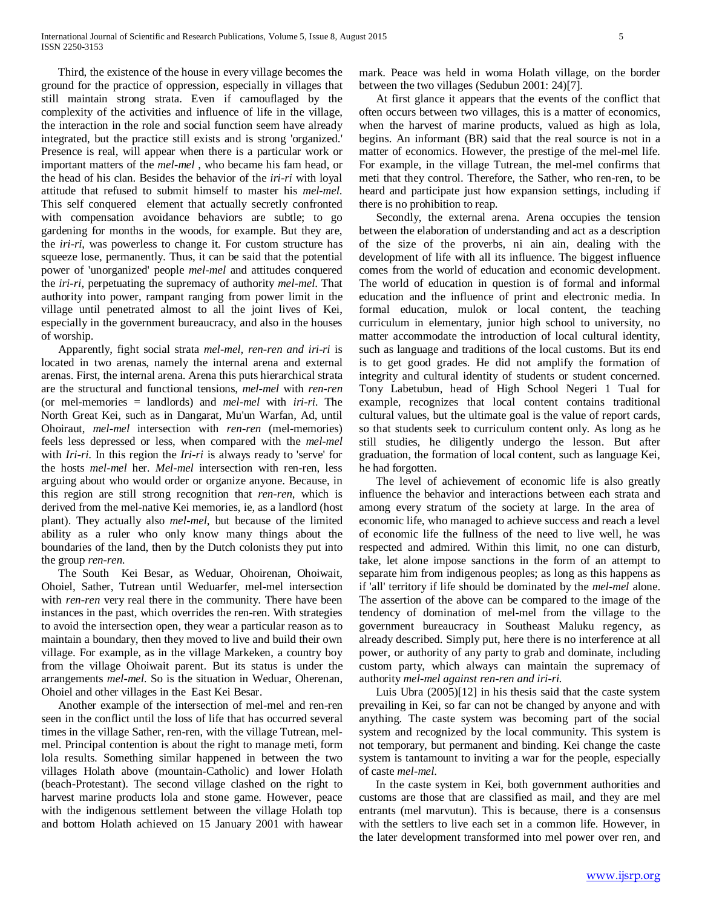Third, the existence of the house in every village becomes the ground for the practice of oppression, especially in villages that still maintain strong strata. Even if camouflaged by the complexity of the activities and influence of life in the village, the interaction in the role and social function seem have already integrated, but the practice still exists and is strong 'organized.' Presence is real, will appear when there is a particular work or important matters of the *mel-mel* , who became his fam head, or the head of his clan. Besides the behavior of the *iri-ri* with loyal attitude that refused to submit himself to master his *mel-mel*. This self conquered element that actually secretly confronted with compensation avoidance behaviors are subtle; to go gardening for months in the woods, for example. But they are, the *iri-ri*, was powerless to change it. For custom structure has squeeze lose, permanently. Thus, it can be said that the potential power of 'unorganized' people *mel-mel* and attitudes conquered the *iri-ri*, perpetuating the supremacy of authority *mel-mel*. That authority into power, rampant ranging from power limit in the village until penetrated almost to all the joint lives of Kei, especially in the government bureaucracy, and also in the houses of worship.

 Apparently, fight social strata *mel-mel, ren-ren and iri-ri* is located in two arenas, namely the internal arena and external arenas. First, the internal arena. Arena this puts hierarchical strata are the structural and functional tensions, *mel-mel* with *ren-ren* (or mel-memories = landlords) and *mel-mel* with *iri-ri*. The North Great Kei, such as in Dangarat, Mu'un Warfan, Ad, until Ohoiraut, *mel-mel* intersection with *ren-ren* (mel-memories) feels less depressed or less, when compared with the *mel-mel* with *Iri-ri*. In this region the *Iri-ri* is always ready to 'serve' for the hosts *mel-mel* her. *Mel-mel* intersection with ren-ren, less arguing about who would order or organize anyone. Because, in this region are still strong recognition that *ren-ren*, which is derived from the mel-native Kei memories, ie, as a landlord (host plant). They actually also *mel-mel*, but because of the limited ability as a ruler who only know many things about the boundaries of the land, then by the Dutch colonists they put into the group *ren-ren*.

 The South Kei Besar, as Weduar, Ohoirenan, Ohoiwait, Ohoiel, Sather, Tutrean until Weduarfer, mel-mel intersection with *ren-ren* very real there in the community. There have been instances in the past, which overrides the ren-ren. With strategies to avoid the intersection open, they wear a particular reason as to maintain a boundary, then they moved to live and build their own village. For example, as in the village Markeken, a country boy from the village Ohoiwait parent. But its status is under the arrangements *mel-mel*. So is the situation in Weduar, Oherenan, Ohoiel and other villages in the East Kei Besar.

 Another example of the intersection of mel-mel and ren-ren seen in the conflict until the loss of life that has occurred several times in the village Sather, ren-ren, with the village Tutrean, melmel. Principal contention is about the right to manage meti, form lola results. Something similar happened in between the two villages Holath above (mountain-Catholic) and lower Holath (beach-Protestant). The second village clashed on the right to harvest marine products lola and stone game. However, peace with the indigenous settlement between the village Holath top and bottom Holath achieved on 15 January 2001 with hawear

mark. Peace was held in woma Holath village, on the border between the two villages (Sedubun 2001: 24)[7].

 At first glance it appears that the events of the conflict that often occurs between two villages, this is a matter of economics, when the harvest of marine products, valued as high as lola, begins. An informant (BR) said that the real source is not in a matter of economics. However, the prestige of the mel-mel life. For example, in the village Tutrean, the mel-mel confirms that meti that they control. Therefore, the Sather, who ren-ren, to be heard and participate just how expansion settings, including if there is no prohibition to reap.

Secondly, the external arena. Arena occupies the tension between the elaboration of understanding and act as a description of the size of the proverbs, ni ain ain, dealing with the development of life with all its influence. The biggest influence comes from the world of education and economic development. The world of education in question is of formal and informal education and the influence of print and electronic media. In formal education, mulok or local content, the teaching curriculum in elementary, junior high school to university, no matter accommodate the introduction of local cultural identity, such as language and traditions of the local customs. But its end is to get good grades. He did not amplify the formation of integrity and cultural identity of students or student concerned. Tony Labetubun, head of High School Negeri 1 Tual for example, recognizes that local content contains traditional cultural values, but the ultimate goal is the value of report cards, so that students seek to curriculum content only. As long as he still studies, he diligently undergo the lesson. But after graduation, the formation of local content, such as language Kei, he had forgotten.

 The level of achievement of economic life is also greatly influence the behavior and interactions between each strata and among every stratum of the society at large. In the area of economic life, who managed to achieve success and reach a level of economic life the fullness of the need to live well, he was respected and admired. Within this limit, no one can disturb, take, let alone impose sanctions in the form of an attempt to separate him from indigenous peoples; as long as this happens as if 'all' territory if life should be dominated by the *mel-mel* alone. The assertion of the above can be compared to the image of the tendency of domination of mel-mel from the village to the government bureaucracy in Southeast Maluku regency, as already described. Simply put, here there is no interference at all power, or authority of any party to grab and dominate, including custom party, which always can maintain the supremacy of authority *mel-mel against ren-ren and iri-ri.*

 Luis Ubra (2005)[12] in his thesis said that the caste system prevailing in Kei, so far can not be changed by anyone and with anything. The caste system was becoming part of the social system and recognized by the local community. This system is not temporary, but permanent and binding. Kei change the caste system is tantamount to inviting a war for the people, especially of caste *mel-mel*.

 In the caste system in Kei, both government authorities and customs are those that are classified as mail, and they are mel entrants (mel marvutun). This is because, there is a consensus with the settlers to live each set in a common life. However, in the later development transformed into mel power over ren, and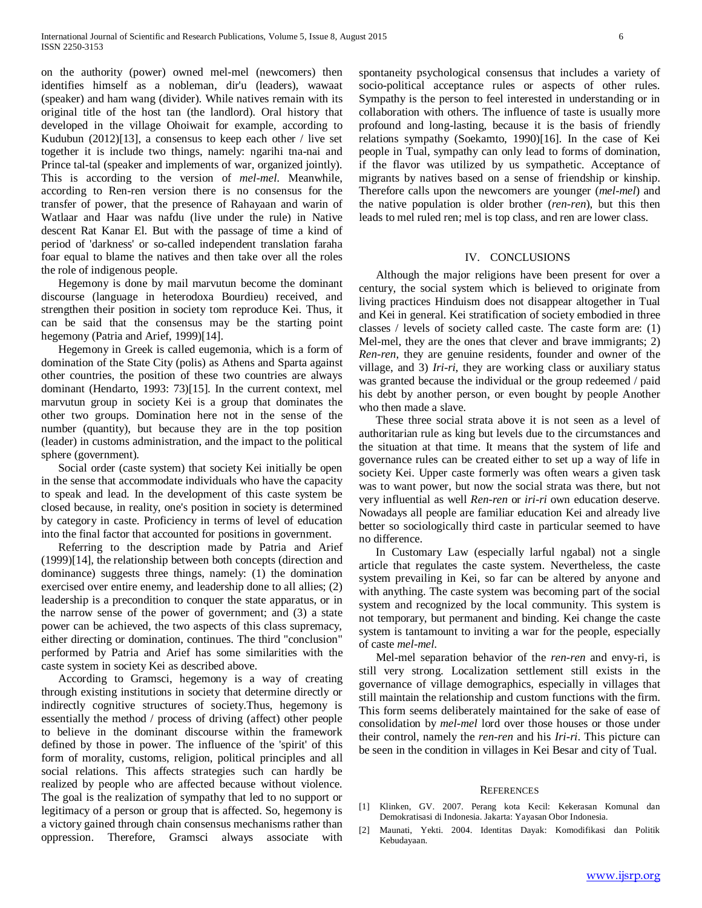on the authority (power) owned mel-mel (newcomers) then identifies himself as a nobleman, dir'u (leaders), wawaat (speaker) and ham wang (divider). While natives remain with its original title of the host tan (the landlord). Oral history that developed in the village Ohoiwait for example, according to Kudubun (2012)[13], a consensus to keep each other / live set together it is include two things, namely: ngarihi tna-nai and Prince tal-tal (speaker and implements of war, organized jointly). This is according to the version of *mel-mel*. Meanwhile, according to Ren-ren version there is no consensus for the transfer of power, that the presence of Rahayaan and warin of Watlaar and Haar was nafdu (live under the rule) in Native descent Rat Kanar El. But with the passage of time a kind of period of 'darkness' or so-called independent translation faraha foar equal to blame the natives and then take over all the roles the role of indigenous people.

 Hegemony is done by mail marvutun become the dominant discourse (language in heterodoxa Bourdieu) received, and strengthen their position in society tom reproduce Kei. Thus, it can be said that the consensus may be the starting point hegemony (Patria and Arief, 1999)[14].

 Hegemony in Greek is called eugemonia, which is a form of domination of the State City (polis) as Athens and Sparta against other countries, the position of these two countries are always dominant (Hendarto, 1993: 73)[15]. In the current context, mel marvutun group in society Kei is a group that dominates the other two groups. Domination here not in the sense of the number (quantity), but because they are in the top position (leader) in customs administration, and the impact to the political sphere (government).

 Social order (caste system) that society Kei initially be open in the sense that accommodate individuals who have the capacity to speak and lead. In the development of this caste system be closed because, in reality, one's position in society is determined by category in caste. Proficiency in terms of level of education into the final factor that accounted for positions in government.

 Referring to the description made by Patria and Arief (1999)[14], the relationship between both concepts (direction and dominance) suggests three things, namely: (1) the domination exercised over entire enemy, and leadership done to all allies; (2) leadership is a precondition to conquer the state apparatus, or in the narrow sense of the power of government; and (3) a state power can be achieved, the two aspects of this class supremacy, either directing or domination, continues. The third "conclusion" performed by Patria and Arief has some similarities with the caste system in society Kei as described above.

 According to Gramsci, hegemony is a way of creating through existing institutions in society that determine directly or indirectly cognitive structures of society.Thus, hegemony is essentially the method / process of driving (affect) other people to believe in the dominant discourse within the framework defined by those in power. The influence of the 'spirit' of this form of morality, customs, religion, political principles and all social relations. This affects strategies such can hardly be realized by people who are affected because without violence. The goal is the realization of sympathy that led to no support or legitimacy of a person or group that is affected. So, hegemony is a victory gained through chain consensus mechanisms rather than oppression. Therefore, Gramsci always associate with

spontaneity psychological consensus that includes a variety of socio-political acceptance rules or aspects of other rules. Sympathy is the person to feel interested in understanding or in collaboration with others. The influence of taste is usually more profound and long-lasting, because it is the basis of friendly relations sympathy (Soekamto, 1990)[16]. In the case of Kei people in Tual, sympathy can only lead to forms of domination, if the flavor was utilized by us sympathetic. Acceptance of migrants by natives based on a sense of friendship or kinship. Therefore calls upon the newcomers are younger (*mel-mel*) and the native population is older brother (*ren-ren*), but this then leads to mel ruled ren; mel is top class, and ren are lower class.

# IV. CONCLUSIONS

 Although the major religions have been present for over a century, the social system which is believed to originate from living practices Hinduism does not disappear altogether in Tual and Kei in general. Kei stratification of society embodied in three classes / levels of society called caste. The caste form are: (1) Mel-mel, they are the ones that clever and brave immigrants; 2) *Ren-ren*, they are genuine residents, founder and owner of the village, and 3) *Iri-ri*, they are working class or auxiliary status was granted because the individual or the group redeemed / paid his debt by another person, or even bought by people Another who then made a slave.

 These three social strata above it is not seen as a level of authoritarian rule as king but levels due to the circumstances and the situation at that time. It means that the system of life and governance rules can be created either to set up a way of life in society Kei. Upper caste formerly was often wears a given task was to want power, but now the social strata was there, but not very influential as well *Ren-ren* or *iri-ri* own education deserve. Nowadays all people are familiar education Kei and already live better so sociologically third caste in particular seemed to have no difference.

 In Customary Law (especially larful ngabal) not a single article that regulates the caste system. Nevertheless, the caste system prevailing in Kei, so far can be altered by anyone and with anything. The caste system was becoming part of the social system and recognized by the local community. This system is not temporary, but permanent and binding. Kei change the caste system is tantamount to inviting a war for the people, especially of caste *mel-mel*.

 Mel-mel separation behavior of the *ren-ren* and envy-ri, is still very strong. Localization settlement still exists in the governance of village demographics, especially in villages that still maintain the relationship and custom functions with the firm. This form seems deliberately maintained for the sake of ease of consolidation by *mel-mel* lord over those houses or those under their control, namely the *ren-ren* and his *Iri-ri*. This picture can be seen in the condition in villages in Kei Besar and city of Tual.

#### **REFERENCES**

- [1] Klinken, GV. 2007. Perang kota Kecil: Kekerasan Komunal dan Demokratisasi di Indonesia. Jakarta: Yayasan Obor Indonesia.
- [2] Maunati, Yekti. 2004. Identitas Dayak: Komodifikasi dan Politik Kebudayaan.